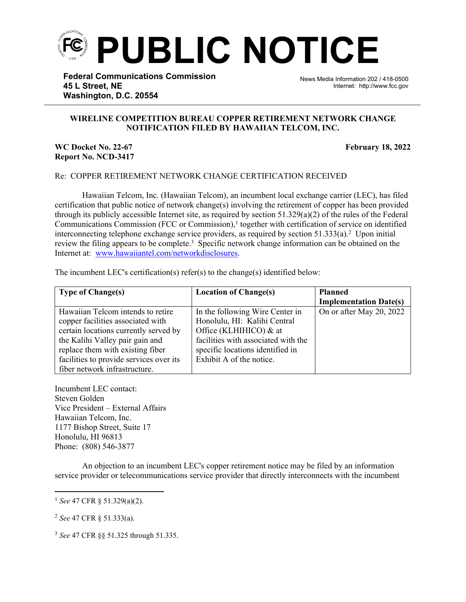

**Federal Communications Commission 45 L Street, NE Washington, D.C. 20554**

News Media Information 202 / 418-0500 Internet: http://www.fcc.gov

## **WIRELINE COMPETITION BUREAU COPPER RETIREMENT NETWORK CHANGE NOTIFICATION FILED BY HAWAIIAN TELCOM, INC.**

֡֡֡֡

## **WC Docket No. 22-67 February 18, 2022 Report No. NCD-3417**

## Re: COPPER RETIREMENT NETWORK CHANGE CERTIFICATION RECEIVED

Hawaiian Telcom, Inc. (Hawaiian Telcom), an incumbent local exchange carrier (LEC), has filed certification that public notice of network change(s) involving the retirement of copper has been provided through its publicly accessible Internet site, as required by section  $51.329(a)(2)$  of the rules of the Federal Communications Commission (FCC or Commission),<sup>1</sup> together with certification of service on identified interconnecting telephone exchange service providers, as required by section  $51.333(a)$ .<sup>2</sup> Upon initial review the filing appears to be complete.<sup>3</sup> Specific network change information can be obtained on the Internet at: [www.hawaiiantel.com/networkdisclosures](http://www.hawaiiantel.com/networkdisclosures).

The incumbent LEC's certification(s) refer(s) to the change(s) identified below:

| <b>Type of Change(s)</b>                | <b>Location of Change(s)</b>        | <b>Planned</b>                |
|-----------------------------------------|-------------------------------------|-------------------------------|
|                                         |                                     | <b>Implementation Date(s)</b> |
| Hawaiian Telcom intends to retire       | In the following Wire Center in     | On or after May 20, 2022      |
| copper facilities associated with       | Honolulu, HI: Kalihi Central        |                               |
| certain locations currently served by   | Office (KLHIHICO) $&$ at            |                               |
| the Kalihi Valley pair gain and         | facilities with associated with the |                               |
| replace them with existing fiber        | specific locations identified in    |                               |
| facilities to provide services over its | Exhibit A of the notice.            |                               |
| fiber network infrastructure.           |                                     |                               |

Incumbent LEC contact: Steven Golden Vice President – External Affairs Hawaiian Telcom, Inc. 1177 Bishop Street, Suite 17 Honolulu, HI 96813 Phone: (808) 546-3877

An objection to an incumbent LEC's copper retirement notice may be filed by an information service provider or telecommunications service provider that directly interconnects with the incumbent

<sup>1</sup> *See* 47 CFR § 51.329(a)(2).

<sup>2</sup> *See* 47 CFR § 51.333(a).

<sup>3</sup> *See* 47 CFR §§ 51.325 through 51.335.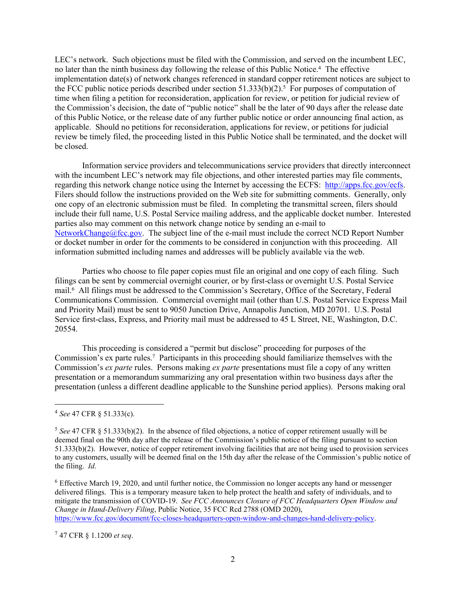LEC's network. Such objections must be filed with the Commission, and served on the incumbent LEC, no later than the ninth business day following the release of this Public Notice.<sup>4</sup> The effective implementation date(s) of network changes referenced in standard copper retirement notices are subject to the FCC public notice periods described under section  $51.333(b)(2)$ .<sup>5</sup> For purposes of computation of time when filing a petition for reconsideration, application for review, or petition for judicial review of the Commission's decision, the date of "public notice" shall be the later of 90 days after the release date of this Public Notice, or the release date of any further public notice or order announcing final action, as applicable. Should no petitions for reconsideration, applications for review, or petitions for judicial review be timely filed, the proceeding listed in this Public Notice shall be terminated, and the docket will be closed.

Information service providers and telecommunications service providers that directly interconnect with the incumbent LEC's network may file objections, and other interested parties may file comments, regarding this network change notice using the Internet by accessing the ECFS: [http://apps.fcc.gov/ecfs.](http://apps.fcc.gov/ecfs) Filers should follow the instructions provided on the Web site for submitting comments. Generally, only one copy of an electronic submission must be filed. In completing the transmittal screen, filers should include their full name, U.S. Postal Service mailing address, and the applicable docket number. Interested parties also may comment on this network change notice by sending an e-mail to [NetworkChange@fcc.gov.](mailto:NetworkChange@fcc.gov) The subject line of the e-mail must include the correct NCD Report Number or docket number in order for the comments to be considered in conjunction with this proceeding. All information submitted including names and addresses will be publicly available via the web.

Parties who choose to file paper copies must file an original and one copy of each filing. Such filings can be sent by commercial overnight courier, or by first-class or overnight U.S. Postal Service mail.<sup>6</sup> All filings must be addressed to the Commission's Secretary, Office of the Secretary, Federal Communications Commission. Commercial overnight mail (other than U.S. Postal Service Express Mail and Priority Mail) must be sent to 9050 Junction Drive, Annapolis Junction, MD 20701. U.S. Postal Service first-class, Express, and Priority mail must be addressed to 45 L Street, NE, Washington, D.C. 20554.

This proceeding is considered a "permit but disclose" proceeding for purposes of the Commission's ex parte rules.<sup>7</sup> Participants in this proceeding should familiarize themselves with the Commission's *ex parte* rules. Persons making *ex parte* presentations must file a copy of any written presentation or a memorandum summarizing any oral presentation within two business days after the presentation (unless a different deadline applicable to the Sunshine period applies). Persons making oral

<sup>7</sup> 47 CFR § 1.1200 *et seq*.

<sup>4</sup> *See* 47 CFR § 51.333(c).

<sup>5</sup> *See* 47 CFR § 51.333(b)(2). In the absence of filed objections, a notice of copper retirement usually will be deemed final on the 90th day after the release of the Commission's public notice of the filing pursuant to section 51.333(b)(2). However, notice of copper retirement involving facilities that are not being used to provision services to any customers, usually will be deemed final on the 15th day after the release of the Commission's public notice of the filing. *Id*.

<sup>6</sup> Effective March 19, 2020, and until further notice, the Commission no longer accepts any hand or messenger delivered filings. This is a temporary measure taken to help protect the health and safety of individuals, and to mitigate the transmission of COVID-19. *See FCC Announces Closure of FCC Headquarters Open Window and Change in Hand-Delivery Filing*, Public Notice, 35 FCC Rcd 2788 (OMD 2020), [https://www.fcc.gov/document/fcc-closes-headquarters-open-window-and-changes-hand-delivery-policy.](https://www.fcc.gov/document/fcc-closes-headquarters-open-window-and-changes-hand-delivery-policy)